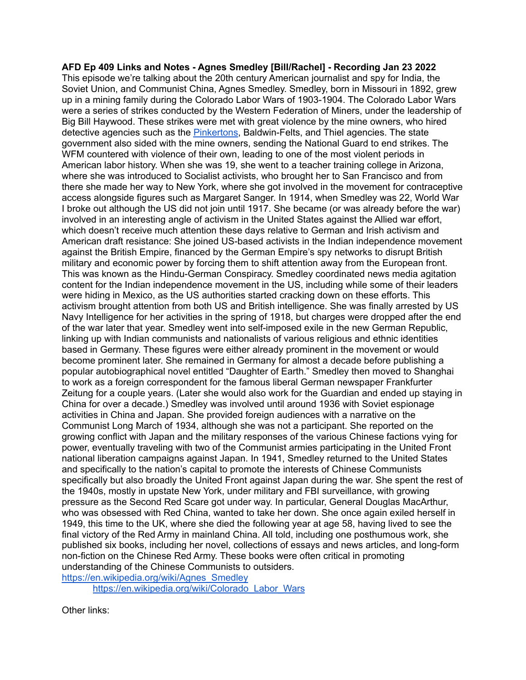**AFD Ep 409 Links and Notes - Agnes Smedley [Bill/Rachel] - Recording Jan 23 2022** This episode we're talking about the 20th century American journalist and spy for India, the Soviet Union, and Communist China, Agnes Smedley. Smedley, born in Missouri in 1892, grew up in a mining family during the Colorado Labor Wars of 1903-1904. The Colorado Labor Wars were a series of strikes conducted by the Western Federation of Miners, under the leadership of Big Bill Haywood. These strikes were met with great violence by the mine owners, who hired detective agencies such as the [Pinkertons](http://arsenalfordemocracy.com/2020/09/08/sept-6-2020-the-pinkertons-part-1-arsenal-for-democracy-ep-323/), Baldwin-Felts, and Thiel agencies. The state government also sided with the mine owners, sending the National Guard to end strikes. The WFM countered with violence of their own, leading to one of the most violent periods in American labor history. When she was 19, she went to a teacher training college in Arizona, where she was introduced to Socialist activists, who brought her to San Francisco and from there she made her way to New York, where she got involved in the movement for contraceptive access alongside figures such as Margaret Sanger. In 1914, when Smedley was 22, World War I broke out although the US did not join until 1917. She became (or was already before the war) involved in an interesting angle of activism in the United States against the Allied war effort, which doesn't receive much attention these days relative to German and Irish activism and American draft resistance: She joined US-based activists in the Indian independence movement against the British Empire, financed by the German Empire's spy networks to disrupt British military and economic power by forcing them to shift attention away from the European front. This was known as the Hindu-German Conspiracy. Smedley coordinated news media agitation content for the Indian independence movement in the US, including while some of their leaders were hiding in Mexico, as the US authorities started cracking down on these efforts. This activism brought attention from both US and British intelligence. She was finally arrested by US Navy Intelligence for her activities in the spring of 1918, but charges were dropped after the end of the war later that year. Smedley went into self-imposed exile in the new German Republic, linking up with Indian communists and nationalists of various religious and ethnic identities based in Germany. These figures were either already prominent in the movement or would become prominent later. She remained in Germany for almost a decade before publishing a popular autobiographical novel entitled "Daughter of Earth." Smedley then moved to Shanghai to work as a foreign correspondent for the famous liberal German newspaper Frankfurter Zeitung for a couple years. (Later she would also work for the Guardian and ended up staying in China for over a decade.) Smedley was involved until around 1936 with Soviet espionage activities in China and Japan. She provided foreign audiences with a narrative on the Communist Long March of 1934, although she was not a participant. She reported on the growing conflict with Japan and the military responses of the various Chinese factions vying for power, eventually traveling with two of the Communist armies participating in the United Front national liberation campaigns against Japan. In 1941, Smedley returned to the United States and specifically to the nation's capital to promote the interests of Chinese Communists specifically but also broadly the United Front against Japan during the war. She spent the rest of the 1940s, mostly in upstate New York, under military and FBI surveillance, with growing pressure as the Second Red Scare got under way. In particular, General Douglas MacArthur, who was obsessed with Red China, wanted to take her down. She once again exiled herself in 1949, this time to the UK, where she died the following year at age 58, having lived to see the final victory of the Red Army in mainland China. All told, including one posthumous work, she published six books, including her novel, collections of essays and news articles, and long-form non-fiction on the Chinese Red Army. These books were often critical in promoting understanding of the Chinese Communists to outsiders. [https://en.wikipedia.org/wiki/Agnes\\_Smedley](https://en.wikipedia.org/wiki/Agnes_Smedley)

[https://en.wikipedia.org/wiki/Colorado\\_Labor\\_Wars](https://en.wikipedia.org/wiki/Colorado_Labor_Wars)

Other links: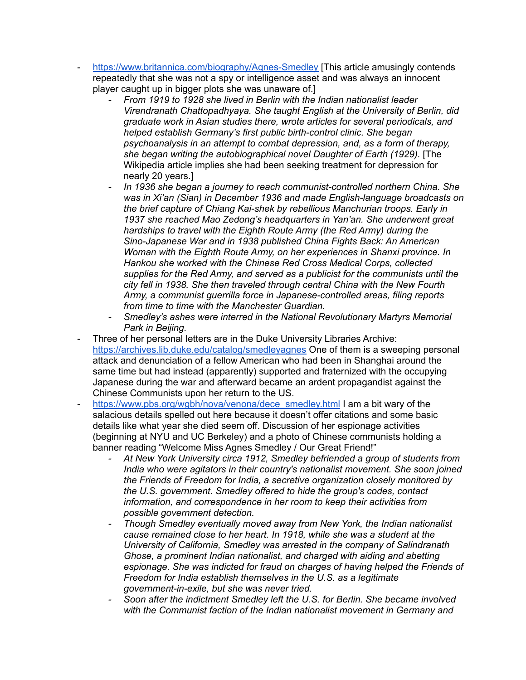- <https://www.britannica.com/biography/Agnes-Smedley> [This article amusingly contends repeatedly that she was not a spy or intelligence asset and was always an innocent player caught up in bigger plots she was unaware of.]
	- *- From 1919 to 1928 she lived in Berlin with the Indian nationalist leader Virendranath Chattopadhyaya. She taught English at the University of Berlin, did graduate work in Asian studies there, wrote articles for several periodicals, and helped establish Germany's first public birth-control clinic. She began psychoanalysis in an attempt to combat depression, and, as a form of therapy, she began writing the autobiographical novel Daughter of Earth (1929).* [The Wikipedia article implies she had been seeking treatment for depression for nearly 20 years.]
	- *- In 1936 she began a journey to reach communist-controlled northern China. She was in Xi'an (Sian) in December 1936 and made English-language broadcasts on the brief capture of Chiang Kai-shek by rebellious Manchurian troops. Early in 1937 she reached Mao Zedong's headquarters in Yan'an. She underwent great hardships to travel with the Eighth Route Army (the Red Army) during the Sino-Japanese War and in 1938 published China Fights Back: An American Woman with the Eighth Route Army, on her experiences in Shanxi province. In Hankou she worked with the Chinese Red Cross Medical Corps, collected supplies for the Red Army, and served as a publicist for the communists until the city fell in 1938. She then traveled through central China with the New Fourth Army, a communist guerrilla force in Japanese-controlled areas, filing reports from time to time with the Manchester Guardian.*
	- *- Smedley's ashes were interred in the National Revolutionary Martyrs Memorial Park in Beijing.*
- Three of her personal letters are in the Duke University Libraries Archive: <https://archives.lib.duke.edu/catalog/smedleyagnes> One of them is a sweeping personal attack and denunciation of a fellow American who had been in Shanghai around the same time but had instead (apparently) supported and fraternized with the occupying Japanese during the war and afterward became an ardent propagandist against the Chinese Communists upon her return to the US.
- [https://www.pbs.org/wgbh/nova/venona/dece\\_smedley.html](https://www.pbs.org/wgbh/nova/venona/dece_smedley.html) I am a bit wary of the salacious details spelled out here because it doesn't offer citations and some basic details like what year she died seem off. Discussion of her espionage activities (beginning at NYU and UC Berkeley) and a photo of Chinese communists holding a banner reading "Welcome Miss Agnes Smedley / Our Great Friend!"
	- *- At New York University circa 1912, Smedley befriended a group of students from India who were agitators in their country's nationalist movement. She soon joined the Friends of Freedom for India, a secretive organization closely monitored by the U.S. government. Smedley offered to hide the group's codes, contact information, and correspondence in her room to keep their activities from possible government detection.*
	- *- Though Smedley eventually moved away from New York, the Indian nationalist cause remained close to her heart. In 1918, while she was a student at the University of California, Smedley was arrested in the company of Salindranath Ghose, a prominent Indian nationalist, and charged with aiding and abetting espionage. She was indicted for fraud on charges of having helped the Friends of Freedom for India establish themselves in the U.S. as a legitimate government-in-exile, but she was never tried.*
	- *- Soon after the indictment Smedley left the U.S. for Berlin. She became involved with the Communist faction of the Indian nationalist movement in Germany and*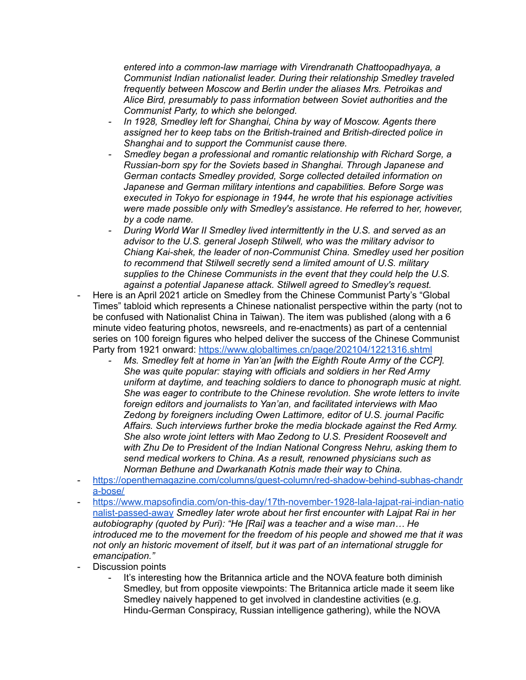*entered into a common-law marriage with Virendranath Chattoopadhyaya, a Communist Indian nationalist leader. During their relationship Smedley traveled frequently between Moscow and Berlin under the aliases Mrs. Petroikas and Alice Bird, presumably to pass information between Soviet authorities and the Communist Party, to which she belonged.*

- *- In 1928, Smedley left for Shanghai, China by way of Moscow. Agents there assigned her to keep tabs on the British-trained and British-directed police in Shanghai and to support the Communist cause there.*
- *- Smedley began a professional and romantic relationship with Richard Sorge, a Russian-born spy for the Soviets based in Shanghai. Through Japanese and German contacts Smedley provided, Sorge collected detailed information on Japanese and German military intentions and capabilities. Before Sorge was executed in Tokyo for espionage in 1944, he wrote that his espionage activities were made possible only with Smedley's assistance. He referred to her, however, by a code name.*
- *- During World War II Smedley lived intermittently in the U.S. and served as an advisor to the U.S. general Joseph Stilwell, who was the military advisor to Chiang Kai-shek, the leader of non-Communist China. Smedley used her position to recommend that Stilwell secretly send a limited amount of U.S. military supplies to the Chinese Communists in the event that they could help the U.S. against a potential Japanese attack. Stilwell agreed to Smedley's request.*
- Here is an April 2021 article on Smedley from the Chinese Communist Party's "Global Times" tabloid which represents a Chinese nationalist perspective within the party (not to be confused with Nationalist China in Taiwan). The item was published (along with a 6 minute video featuring photos, newsreels, and re-enactments) as part of a centennial series on 100 foreign figures who helped deliver the success of the Chinese Communist Party from 1921 onward: <https://www.globaltimes.cn/page/202104/1221316.shtml>
	- *- Ms. Smedley felt at home in Yan'an [with the Eighth Route Army of the CCP]. She was quite popular: staying with officials and soldiers in her Red Army uniform at daytime, and teaching soldiers to dance to phonograph music at night. She was eager to contribute to the Chinese revolution. She wrote letters to invite foreign editors and journalists to Yan'an, and facilitated interviews with Mao Zedong by foreigners including Owen Lattimore, editor of U.S. journal Pacific Affairs. Such interviews further broke the media blockade against the Red Army. She also wrote joint letters with Mao Zedong to U.S. President Roosevelt and with Zhu De to President of the Indian National Congress Nehru, asking them to send medical workers to China. As a result, renowned physicians such as Norman Bethune and Dwarkanath Kotnis made their way to China.*
- [https://openthemagazine.com/columns/guest-column/red-shadow-behind-subhas-chandr](https://openthemagazine.com/columns/guest-column/red-shadow-behind-subhas-chandra-bose/) [a-bose/](https://openthemagazine.com/columns/guest-column/red-shadow-behind-subhas-chandra-bose/)
- [https://www.mapsofindia.com/on-this-day/17th-november-1928-lala-lajpat-rai-indian-natio](https://www.mapsofindia.com/on-this-day/17th-november-1928-lala-lajpat-rai-indian-nationalist-passed-away) [nalist-passed-away](https://www.mapsofindia.com/on-this-day/17th-november-1928-lala-lajpat-rai-indian-nationalist-passed-away) *Smedley later wrote about her first encounter with Lajpat Rai in her autobiography (quoted by Puri): "He [Rai] was a teacher and a wise man… He introduced me to the movement for the freedom of his people and showed me that it was not only an historic movement of itself, but it was part of an international struggle for emancipation."*
- Discussion points
	- It's interesting how the Britannica article and the NOVA feature both diminish Smedley, but from opposite viewpoints: The Britannica article made it seem like Smedley naively happened to get involved in clandestine activities (e.g. Hindu-German Conspiracy, Russian intelligence gathering), while the NOVA